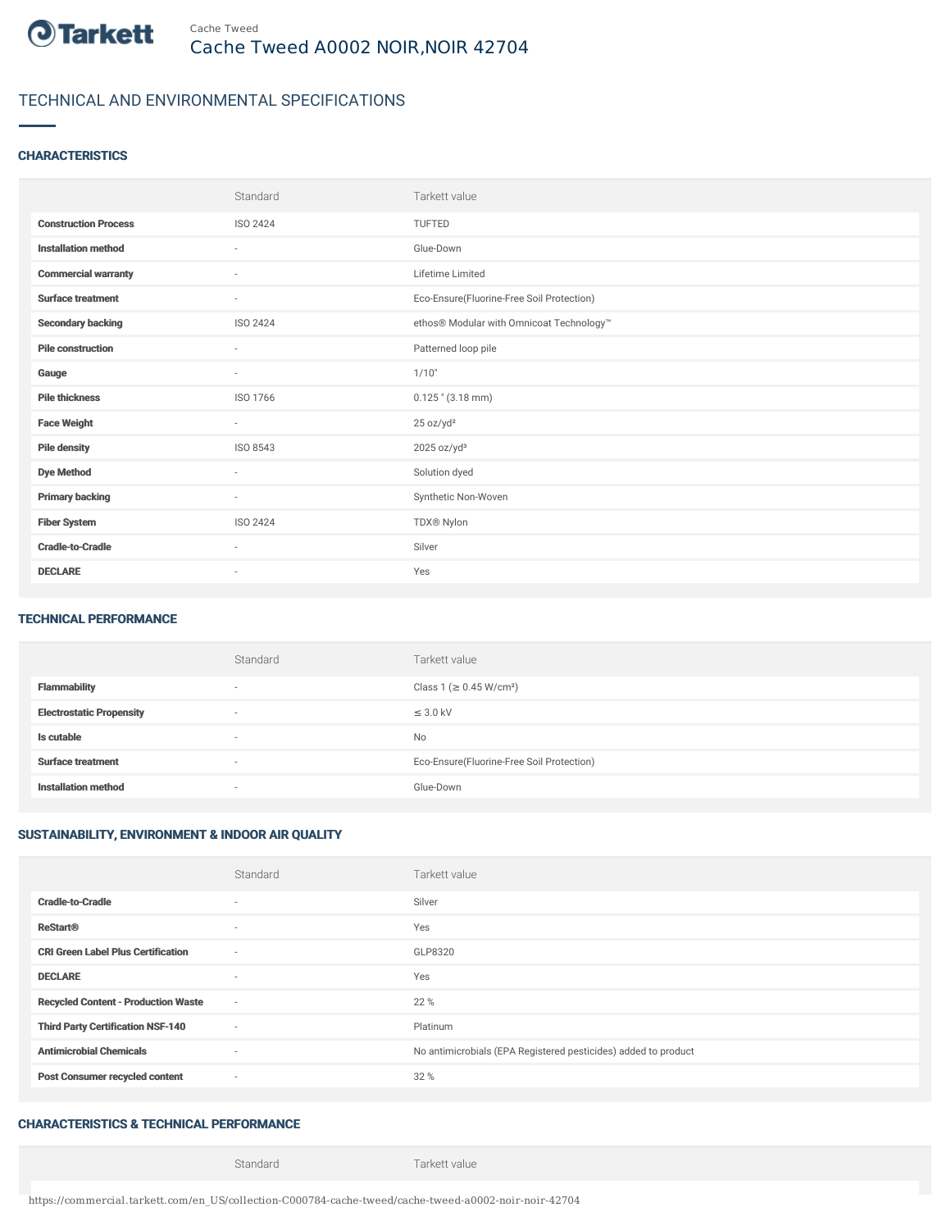

# TECHNICAL AND ENVIRONMENTAL SPECIFICATIONS

### **CHARACTERISTICS**

|                             | Standard                 | Tarkett value                             |
|-----------------------------|--------------------------|-------------------------------------------|
| <b>Construction Process</b> | <b>ISO 2424</b>          | TUFTED                                    |
| <b>Installation method</b>  | $\sim$                   | Glue-Down                                 |
| <b>Commercial warranty</b>  | ×                        | Lifetime Limited                          |
| <b>Surface treatment</b>    | ٠                        | Eco-Ensure(Fluorine-Free Soil Protection) |
| <b>Secondary backing</b>    | ISO 2424                 | ethos® Modular with Omnicoat Technology™  |
| <b>Pile construction</b>    | $\sim$                   | Patterned loop pile                       |
| Gauge                       | $\sim$                   | 1/10"                                     |
| <b>Pile thickness</b>       | ISO 1766                 | $0.125$ " (3.18 mm)                       |
| <b>Face Weight</b>          | $\sim$                   | 25 oz/yd <sup>2</sup>                     |
| <b>Pile density</b>         | ISO 8543                 | $2025$ oz/yd <sup>3</sup>                 |
| <b>Dye Method</b>           | $\sim$                   | Solution dyed                             |
| <b>Primary backing</b>      | $\overline{\phantom{a}}$ | Synthetic Non-Woven                       |
| <b>Fiber System</b>         | ISO 2424                 | TDX® Nylon                                |
| <b>Cradle-to-Cradle</b>     | ٠                        | Silver                                    |
| <b>DECLARE</b>              | $\overline{\phantom{a}}$ | Yes                                       |

#### TECHNICAL PERFORMANCE

|                                 | Standard                 | Tarkett value                             |
|---------------------------------|--------------------------|-------------------------------------------|
| Flammability                    | ۰                        | Class 1 (≥ 0.45 W/cm <sup>2</sup> )       |
| <b>Electrostatic Propensity</b> | $\overline{\phantom{a}}$ | $\leq$ 3.0 kV                             |
| Is cutable                      | $\overline{\phantom{a}}$ | No                                        |
| <b>Surface treatment</b>        | $\overline{\phantom{a}}$ | Eco-Ensure(Fluorine-Free Soil Protection) |
| <b>Installation method</b>      |                          | Glue-Down                                 |

# SUSTAINABILITY, ENVIRONMENT & INDOOR AIR QUALITY

|                                            | Standard                 | Tarkett value                                                  |
|--------------------------------------------|--------------------------|----------------------------------------------------------------|
| <b>Cradle-to-Cradle</b>                    | ٠                        | Silver                                                         |
| <b>ReStart®</b>                            | $\sim$                   | Yes                                                            |
| <b>CRI Green Label Plus Certification</b>  | $\overline{\phantom{a}}$ | GLP8320                                                        |
| <b>DECLARE</b>                             | $\sim$                   | Yes                                                            |
| <b>Recycled Content - Production Waste</b> | $\sim$                   | 22 %                                                           |
| <b>Third Party Certification NSF-140</b>   | $\sim$                   | Platinum                                                       |
| <b>Antimicrobial Chemicals</b>             | $\sim$                   | No antimicrobials (EPA Registered pesticides) added to product |
| <b>Post Consumer recycled content</b>      | $\sim$                   | 32 %                                                           |

### CHARACTERISTICS & TECHNICAL PERFORMANCE

Standard Tarkett value